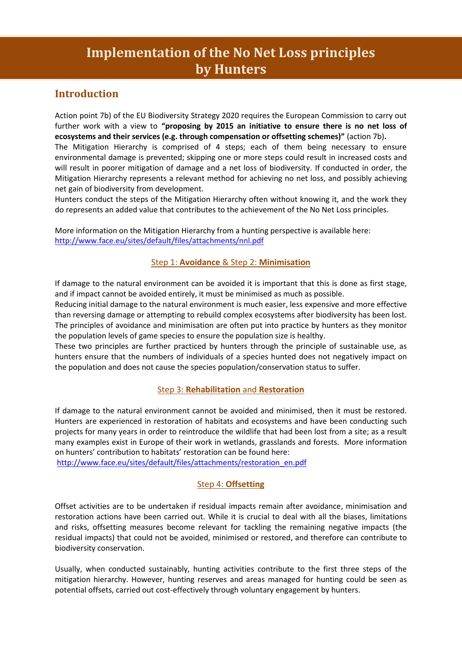# **Implementation of the No Net Loss principles by Hunters**

# **Introduction**

Action point 7b) of the EU Biodiversity Strategy 2020 requires the European Commission to carry out further work with a view to **"proposing by 2015 an initiative to ensure there is no net loss of ecosystems and their services (e.g. through compensation or offsetting schemes)"** (action 7b)**.**

The Mitigation Hierarchy is comprised of 4 steps; each of them being necessary to ensure environmental damage is prevented; skipping one or more steps could result in increased costs and will result in poorer mitigation of damage and a net loss of biodiversity. If conducted in order, the Mitigation Hierarchy represents a relevant method for achieving no net loss, and possibly achieving net gain of biodiversity from development.

Hunters conduct the steps of the Mitigation Hierarchy often without knowing it, and the work they do represents an added value that contributes to the achievement of the No Net Loss principles.

More information on the Mitigation Hierarchy from a hunting perspective is available here: <http://www.face.eu/sites/default/files/attachments/nnl.pdf>

### Step 1: **Avoidance** & Step 2: **Minimisation**

If damage to the natural environment can be avoided it is important that this is done as first stage, and if impact cannot be avoided entirely, it must be minimised as much as possible.

Reducing initial damage to the natural environment is much easier, less expensive and more effective than reversing damage or attempting to rebuild complex ecosystems after biodiversity has been lost. The principles of avoidance and minimisation are often put into practice by hunters as they monitor the population levels of game species to ensure the population size is healthy.

These two principles are further practiced by hunters through the principle of sustainable use, as hunters ensure that the numbers of individuals of a species hunted does not negatively impact on the population and does not cause the species population/conservation status to suffer.

### Step 3: **Rehabilitation** and **Restoration**

If damage to the natural environment cannot be avoided and minimised, then it must be restored. Hunters are experienced in restoration of habitats and ecosystems and have been conducting such projects for many years in order to reintroduce the wildlife that had been lost from a site; as a result many examples exist in Europe of their work in wetlands, grasslands and forests. More information on hunters' contribution to habitats' restoration can be found here:

[http://www.face.eu/sites/default/files/attachments/restoration\\_en.pdf](http://www.face.eu/sites/default/files/attachments/restoration_en.pdf)

### Step 4: **Offsetting**

Offset activities are to be undertaken if residual impacts remain after avoidance, minimisation and restoration actions have been carried out. While it is crucial to deal with all the biases, limitations and risks, offsetting measures become relevant for tackling the remaining negative impacts (the residual impacts) that could not be avoided, minimised or restored, and therefore can contribute to biodiversity conservation.

Usually, when conducted sustainably, hunting activities contribute to the first three steps of the mitigation hierarchy. However, hunting reserves and areas managed for hunting could be seen as potential offsets, carried out cost-effectively through voluntary engagement by hunters.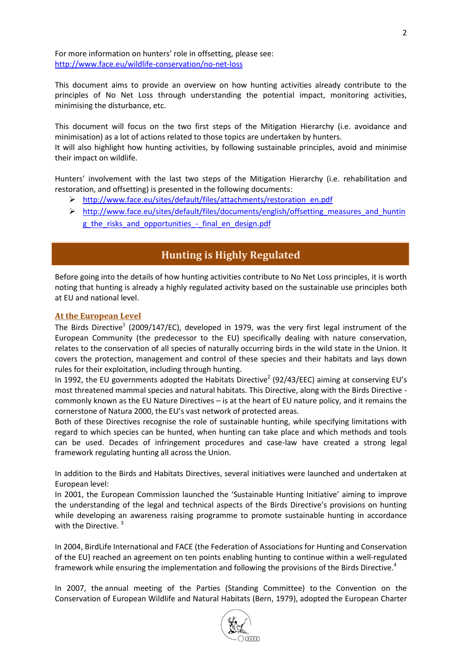For more information on hunters' role in offsetting, please see: <http://www.face.eu/wildlife-conservation/no-net-loss>

This document aims to provide an overview on how hunting activities already contribute to the principles of No Net Loss through understanding the potential impact, monitoring activities, minimising the disturbance, etc.

This document will focus on the two first steps of the Mitigation Hierarchy (i.e. avoidance and minimisation) as a lot of actions related to those topics are undertaken by hunters.

It will also highlight how hunting activities, by following sustainable principles, avoid and minimise their impact on wildlife.

Hunters' involvement with the last two steps of the Mitigation Hierarchy (i.e. rehabilitation and restoration, and offsetting) is presented in the following documents:

- [http://www.face.eu/sites/default/files/attachments/restoration\\_en.pdf](http://www.face.eu/sites/default/files/attachments/restoration_en.pdf)
- $\triangleright$  http://www.face.eu/sites/default/files/documents/english/offsetting measures and huntin g the risks and opportunities - final en design.pdf

# **Hunting is Highly Regulated**

Before going into the details of how hunting activities contribute to No Net Loss principles, it is worth noting that hunting is already a highly regulated activity based on the sustainable use principles both at EU and national level.

#### **At the European Level**

The Birds Directive<sup>1</sup> (2009/147/EC), developed in 1979, was the very first legal instrument of the European Community (the predecessor to the EU) specifically dealing with nature conservation, relates to the conservation of all species of naturally occurring birds in the wild state in the Union. It covers the protection, management and control of these species and their habitats and lays down rules for their exploitation, including through hunting.

In 1992, the EU governments adopted the Habitats Directive<sup>2</sup> (92/43/EEC) aiming at conserving EU's most threatened mammal species and natural habitats. This Directive, along with the Birds Directive commonly known as the EU Nature Directives – is at the heart of EU nature policy, and it remains the cornerstone of Natura 2000, the EU's vast network of protected areas.

Both of these Directives recognise the role of sustainable hunting, while specifying limitations with regard to which species can be hunted, when hunting can take place and which methods and tools can be used. Decades of infringement procedures and case-law have created a strong legal framework regulating hunting all across the Union.

In addition to the Birds and Habitats Directives, several initiatives were launched and undertaken at European level:

In 2001, the European Commission launched the 'Sustainable Hunting Initiative' aiming to improve the understanding of the legal and technical aspects of the Birds Directive's provisions on hunting while developing an awareness raising programme to promote sustainable hunting in accordance with the Directive.  $3$ 

In 2004, BirdLife International and FACE (the Federation of Associations for Hunting and Conservation of the EU) reached an agreement on ten points enabling hunting to continue within a well-regulated framework while ensuring the implementation and following the provisions of the Birds Directive.<sup>4</sup>

In 2007, the annual meeting of the Parties (Standing Committee) to the Convention on the Conservation of European Wildlife and Natural Habitats (Bern, 1979), adopted the European Charter

2

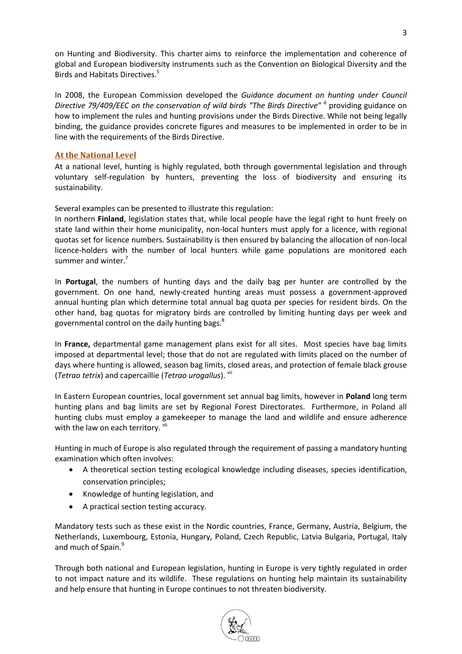on Hunting and Biodiversity. This charter aims to reinforce the implementation and coherence of global and European biodiversity instruments such as the Convention on Biological Diversity and the Birds and Habitats Directives.<sup>5</sup>

In 2008, the European Commission developed the *Guidance document on hunting under Council Directive 79/409/EEC on the conservation of wild birds "The Birds Directive" <sup>6</sup>* providing guidance on how to implement the rules and hunting provisions under the Birds Directive. While not being legally binding, the guidance provides concrete figures and measures to be implemented in order to be in line with the requirements of the Birds Directive.

### **At the National Level**

At a national level, hunting is highly regulated, both through governmental legislation and through voluntary self-regulation by hunters, preventing the loss of biodiversity and ensuring its sustainability.

Several examples can be presented to illustrate this regulation:

In northern **Finland**, legislation states that, while local people have the legal right to hunt freely on state land within their home municipality, non-local hunters must apply for a licence, with regional quotas set for licence numbers. Sustainability is then ensured by balancing the allocation of non-local licence-holders with the number of local hunters while game populations are monitored each summer and winter.<sup>7</sup>

In **Portugal**, the numbers of hunting days and the daily bag per hunter are controlled by the government. On one hand, newly-created hunting areas must possess a government-approved annual hunting plan which determine total annual bag quota per species for resident birds. On the other hand, bag quotas for migratory birds are controlled by limiting hunting days per week and governmental control on the daily hunting bags. $^{8}$ 

In **France,** departmental game management plans exist for all sites. Most species have bag limits imposed at departmental level; those that do not are regulated with limits placed on the number of days where hunting is allowed, season bag limits, closed areas, and protection of female black grouse (*Tetrao tetrix*) and capercaillie (*Tetrao urogallus*). vii

In Eastern European countries, local government set annual bag limits, however in **Poland** long term hunting plans and bag limits are set by Regional Forest Directorates. Furthermore, in Poland all hunting clubs must employ a gamekeeper to manage the land and wildlife and ensure adherence with the law on each territory. Vii

Hunting in much of Europe is also regulated through the requirement of passing a mandatory hunting examination which often involves:

- A theoretical section testing ecological knowledge including diseases, species identification, conservation principles;
- Knowledge of hunting legislation, and
- A practical section testing accuracy.

Mandatory tests such as these exist in the Nordic countries, France, Germany, Austria, Belgium, the Netherlands, Luxembourg, Estonia, Hungary, Poland, Czech Republic, Latvia Bulgaria, Portugal, Italy and much of Spain.<sup>9</sup>

Through both national and European legislation, hunting in Europe is very tightly regulated in order to not impact nature and its wildlife. These regulations on hunting help maintain its sustainability and help ensure that hunting in Europe continues to not threaten biodiversity.

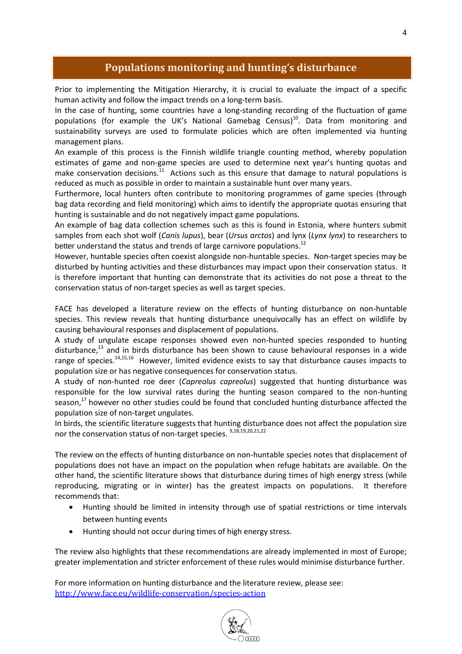# **Populations monitoring and hunting's disturbance**

Prior to implementing the Mitigation Hierarchy, it is crucial to evaluate the impact of a specific human activity and follow the impact trends on a long-term basis.

In the case of hunting, some countries have a long-standing recording of the fluctuation of game populations (for example the UK's National Gamebag Census)<sup>10</sup>. Data from monitoring and sustainability surveys are used to formulate policies which are often implemented via hunting management plans.

An example of this process is the Finnish wildlife triangle counting method, whereby population estimates of game and non-game species are used to determine next year's hunting quotas and make conservation decisions. $^{11}$  Actions such as this ensure that damage to natural populations is reduced as much as possible in order to maintain a sustainable hunt over many years.

Furthermore, local hunters often contribute to monitoring programmes of game species (through bag data recording and field monitoring) which aims to identify the appropriate quotas ensuring that hunting is sustainable and do not negatively impact game populations.

An example of bag data collection schemes such as this is found in Estonia, where hunters submit samples from each shot wolf (*Canis lupus*), bear (*Ursus arctos*) and lynx (*Lynx lynx*) to researchers to better understand the status and trends of large carnivore populations.<sup>12</sup>

However, huntable species often coexist alongside non-huntable species. Non-target species may be disturbed by hunting activities and these disturbances may impact upon their conservation status. It is therefore important that hunting can demonstrate that its activities do not pose a threat to the conservation status of non-target species as well as target species.

FACE has developed a literature review on the effects of hunting disturbance on non-huntable species. This review reveals that hunting disturbance unequivocally has an effect on wildlife by causing behavioural responses and displacement of populations.

A study of ungulate escape responses showed even non-hunted species responded to hunting disturbance,<sup>13</sup> and in birds disturbance has been shown to cause behavioural responses in a wide range of species.<sup>14,15,16</sup> However, limited evidence exists to say that disturbance causes impacts to population size or has negative consequences for conservation status.

A study of non-hunted roe deer (*Capreolus capreolus*) suggested that hunting disturbance was responsible for the low survival rates during the hunting season compared to the non-hunting season,<sup>17</sup> however no other studies could be found that concluded hunting disturbance affected the population size of non-target ungulates.

In birds, the scientific literature suggests that hunting disturbance does not affect the population size nor the conservation status of non-target species.  $9,18,19,20,21,22$ 

The review on the effects of hunting disturbance on non-huntable species notes that displacement of populations does not have an impact on the population when refuge habitats are available. On the other hand, the scientific literature shows that disturbance during times of high energy stress (while reproducing, migrating or in winter) has the greatest impacts on populations. It therefore recommends that:

- Hunting should be limited in intensity through use of spatial restrictions or time intervals between hunting events
- Hunting should not occur during times of high energy stress.

The review also highlights that these recommendations are already implemented in most of Europe; greater implementation and stricter enforcement of these rules would minimise disturbance further.

For more information on hunting disturbance and the literature review, please see: <http://www.face.eu/wildlife-conservation/species-action>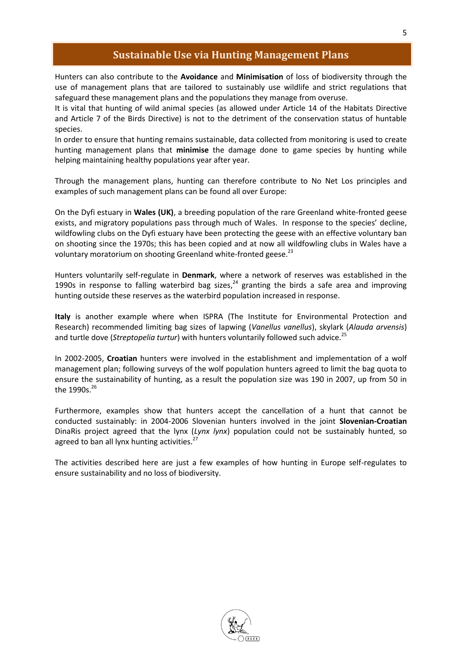## **Sustainable Use via Hunting Management Plans**

Hunters can also contribute to the **Avoidance** and **Minimisation** of loss of biodiversity through the use of management plans that are tailored to sustainably use wildlife and strict regulations that safeguard these management plans and the populations they manage from overuse.

It is vital that hunting of wild animal species (as allowed under Article 14 of the Habitats Directive and Article 7 of the Birds Directive) is not to the detriment of the conservation status of huntable species.

In order to ensure that hunting remains sustainable, data collected from monitoring is used to create hunting management plans that **minimise** the damage done to game species by hunting while helping maintaining healthy populations year after year.

Through the management plans, hunting can therefore contribute to No Net Los principles and examples of such management plans can be found all over Europe:

On the Dyfi estuary in **Wales (UK)**, a breeding population of the rare Greenland white-fronted geese exists, and migratory populations pass through much of Wales. In response to the species' decline, wildfowling clubs on the Dyfi estuary have been protecting the geese with an effective voluntary ban on shooting since the 1970s; this has been copied and at now all wildfowling clubs in Wales have a voluntary moratorium on shooting Greenland white-fronted geese.<sup>23</sup>

Hunters voluntarily self-regulate in **Denmark**, where a network of reserves was established in the 1990s in response to falling waterbird bag sizes, $^{24}$  granting the birds a safe area and improving hunting outside these reserves as the waterbird population increased in response.

**Italy** is another example where when ISPRA (The Institute for Environmental Protection and Research) recommended limiting bag sizes of lapwing (*Vanellus vanellus*), skylark (*Alauda arvensis*) and turtle dove (*Streptopelia turtur*) with hunters voluntarily followed such advice.<sup>25</sup>

In 2002-2005, **Croatian** hunters were involved in the establishment and implementation of a wolf management plan; following surveys of the wolf population hunters agreed to limit the bag quota to ensure the sustainability of hunting, as a result the population size was 190 in 2007, up from 50 in the 1990s. $^{26}$ 

Furthermore, examples show that hunters accept the cancellation of a hunt that cannot be conducted sustainably: in 2004-2006 Slovenian hunters involved in the joint **Slovenian-Croatian**  DinaRis project agreed that the lynx (*Lynx lynx*) population could not be sustainably hunted, so agreed to ban all lynx hunting activities.<sup>27</sup>

The activities described here are just a few examples of how hunting in Europe self-regulates to ensure sustainability and no loss of biodiversity.

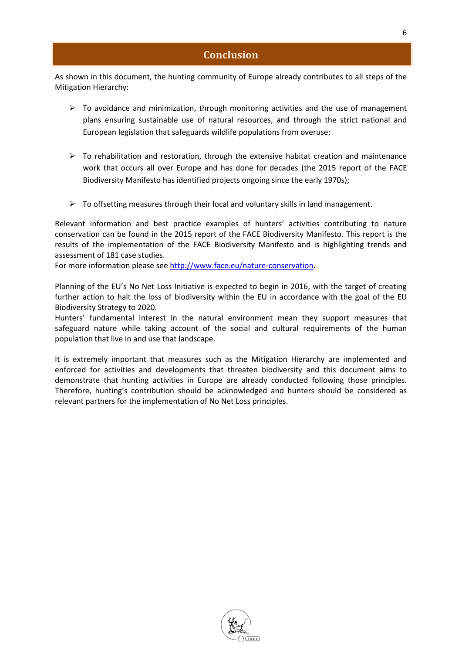### **Conclusion**

As shown in this document, the hunting community of Europe already contributes to all steps of the Mitigation Hierarchy:

- $\triangleright$  To avoidance and minimization, through monitoring activities and the use of management plans ensuring sustainable use of natural resources, and through the strict national and European legislation that safeguards wildlife populations from overuse;
- $\triangleright$  To rehabilitation and restoration, through the extensive habitat creation and maintenance work that occurs all over Europe and has done for decades (the 2015 report of the FACE Biodiversity Manifesto has identified projects ongoing since the early 1970s);
- $\triangleright$  To offsetting measures through their local and voluntary skills in land management.

Relevant information and best practice examples of hunters' activities contributing to nature conservation can be found in the 2015 report of the FACE Biodiversity Manifesto. This report is the results of the implementation of the FACE Biodiversity Manifesto and is highlighting trends and assessment of 181 case studies.

For more information please see [http://www.face.eu/nature-conservation.](http://www.face.eu/nature-conservation)

Planning of the EU's No Net Loss Initiative is expected to begin in 2016, with the target of creating further action to halt the loss of biodiversity within the EU in accordance with the goal of the EU Biodiversity Strategy to 2020.

Hunters' fundamental interest in the natural environment mean they support measures that safeguard nature while taking account of the social and cultural requirements of the human population that live in and use that landscape.

It is extremely important that measures such as the Mitigation Hierarchy are implemented and enforced for activities and developments that threaten biodiversity and this document aims to demonstrate that hunting activities in Europe are already conducted following those principles. Therefore, hunting's contribution should be acknowledged and hunters should be considered as relevant partners for the implementation of No Net Loss principles.